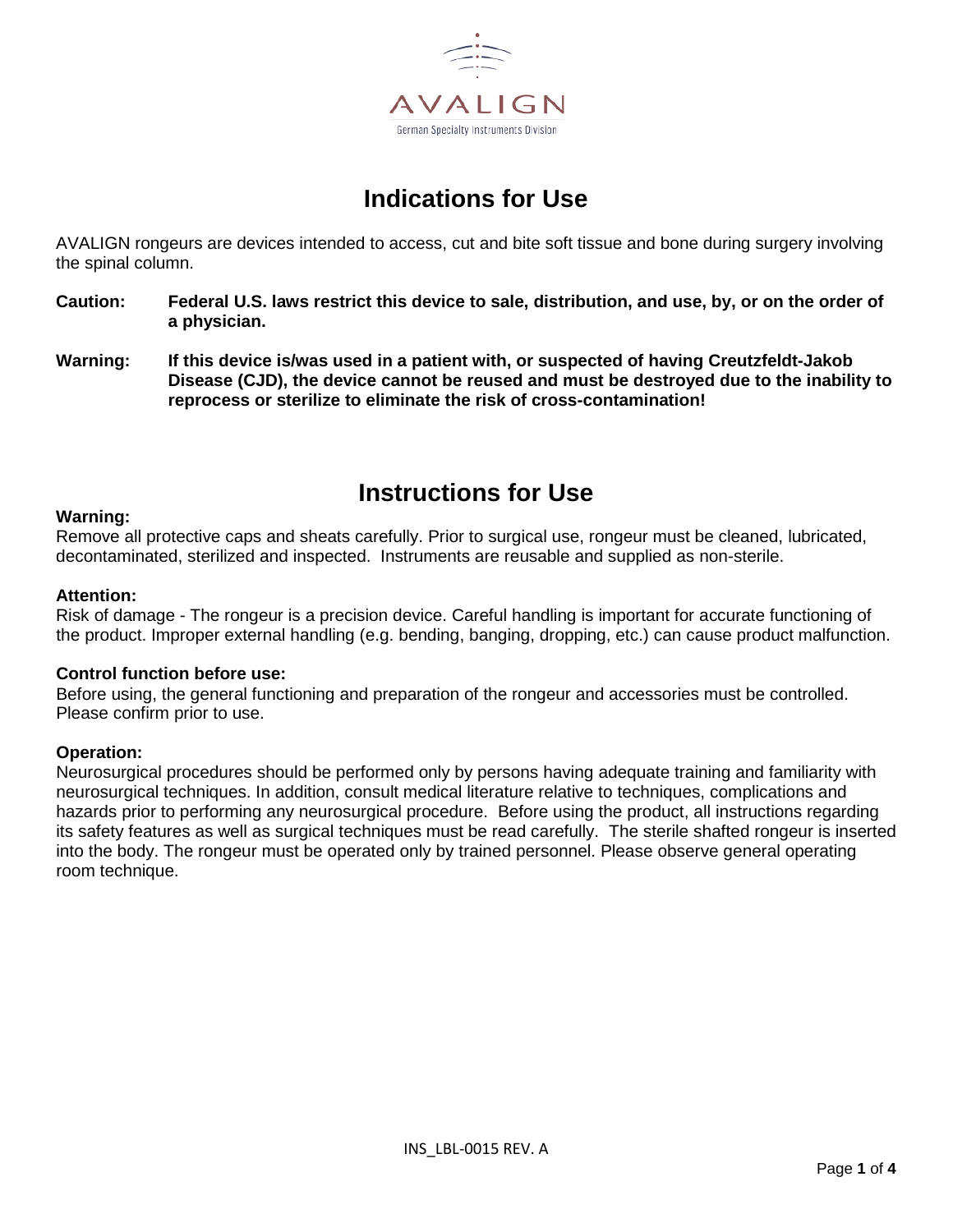

# **Indications for Use**

AVALIGN rongeurs are devices intended to access, cut and bite soft tissue and bone during surgery involving the spinal column.

- **Caution: Federal U.S. laws restrict this device to sale, distribution, and use, by, or on the order of a physician.**
- **Warning: If this device is/was used in a patient with, or suspected of having Creutzfeldt-Jakob Disease (CJD), the device cannot be reused and must be destroyed due to the inability to reprocess or sterilize to eliminate the risk of cross-contamination!**

# **Instructions for Use**

# **Warning:**

Remove all protective caps and sheats carefully. Prior to surgical use, rongeur must be cleaned, lubricated, decontaminated, sterilized and inspected. Instruments are reusable and supplied as non-sterile.

#### **Attention:**

Risk of damage - The rongeur is a precision device. Careful handling is important for accurate functioning of the product. Improper external handling (e.g. bending, banging, dropping, etc.) can cause product malfunction.

#### **Control function before use:**

Before using, the general functioning and preparation of the rongeur and accessories must be controlled. Please confirm prior to use.

#### **Operation:**

Neurosurgical procedures should be performed only by persons having adequate training and familiarity with neurosurgical techniques. In addition, consult medical literature relative to techniques, complications and hazards prior to performing any neurosurgical procedure. Before using the product, all instructions regarding its safety features as well as surgical techniques must be read carefully. The sterile shafted rongeur is inserted into the body. The rongeur must be operated only by trained personnel. Please observe general operating room technique.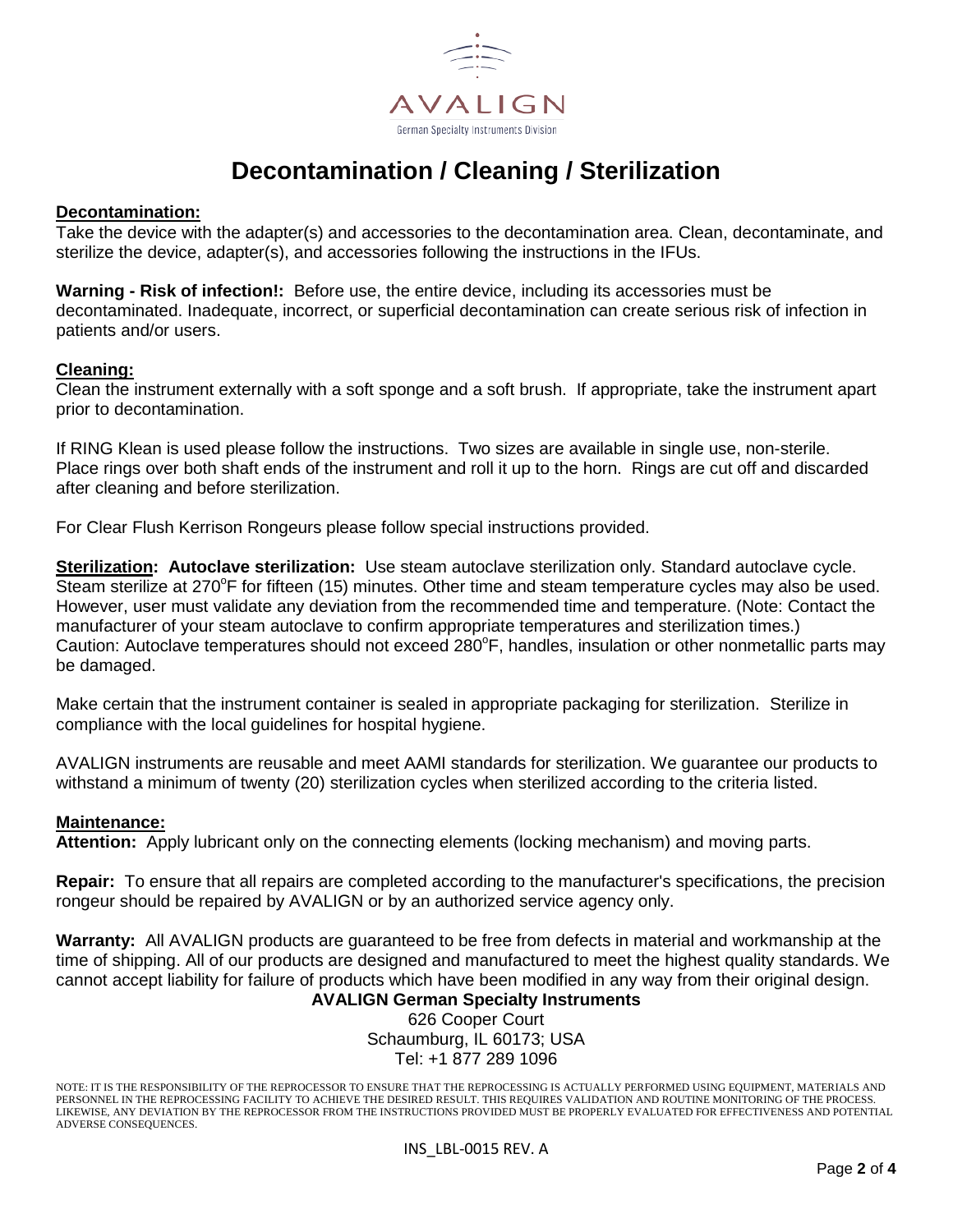

# **Decontamination / Cleaning / Sterilization**

# **Decontamination:**

Take the device with the adapter(s) and accessories to the decontamination area. Clean, decontaminate, and sterilize the device, adapter(s), and accessories following the instructions in the IFUs.

**Warning - Risk of infection!:** Before use, the entire device, including its accessories must be decontaminated. Inadequate, incorrect, or superficial decontamination can create serious risk of infection in patients and/or users.

# **Cleaning:**

Clean the instrument externally with a soft sponge and a soft brush. If appropriate, take the instrument apart prior to decontamination.

If RING Klean is used please follow the instructions. Two sizes are available in single use, non-sterile. Place rings over both shaft ends of the instrument and roll it up to the horn. Rings are cut off and discarded after cleaning and before sterilization.

For Clear Flush Kerrison Rongeurs please follow special instructions provided.

**Sterilization: Autoclave sterilization:** Use steam autoclave sterilization only. Standard autoclave cycle. Steam sterilize at 270°F for fifteen (15) minutes. Other time and steam temperature cycles may also be used. However, user must validate any deviation from the recommended time and temperature. (Note: Contact the manufacturer of your steam autoclave to confirm appropriate temperatures and sterilization times.) Caution: Autoclave temperatures should not exceed 280°F, handles, insulation or other nonmetallic parts may be damaged.

Make certain that the instrument container is sealed in appropriate packaging for sterilization. Sterilize in compliance with the local guidelines for hospital hygiene.

AVALIGN instruments are reusable and meet AAMI standards for sterilization. We guarantee our products to withstand a minimum of twenty (20) sterilization cycles when sterilized according to the criteria listed.

#### **Maintenance:**

**Attention:** Apply lubricant only on the connecting elements (locking mechanism) and moving parts.

**Repair:** To ensure that all repairs are completed according to the manufacturer's specifications, the precision rongeur should be repaired by AVALIGN or by an authorized service agency only.

**Warranty:** All AVALIGN products are guaranteed to be free from defects in material and workmanship at the time of shipping. All of our products are designed and manufactured to meet the highest quality standards. We cannot accept liability for failure of products which have been modified in any way from their original design.

**AVALIGN German Specialty Instruments** 626 Cooper Court Schaumburg, IL 60173; USA Tel: +1 877 289 1096

NOTE: IT IS THE RESPONSIBILITY OF THE REPROCESSOR TO ENSURE THAT THE REPROCESSING IS ACTUALLY PERFORMED USING EQUIPMENT, MATERIALS AND PERSONNEL IN THE REPROCESSING FACILITY TO ACHIEVE THE DESIRED RESULT. THIS REQUIRES VALIDATION AND ROUTINE MONITORING OF THE PROCESS. LIKEWISE, ANY DEVIATION BY THE REPROCESSOR FROM THE INSTRUCTIONS PROVIDED MUST BE PROPERLY EVALUATED FOR EFFECTIVENESS AND POTENTIAL ADVERSE CONSEQUENCES.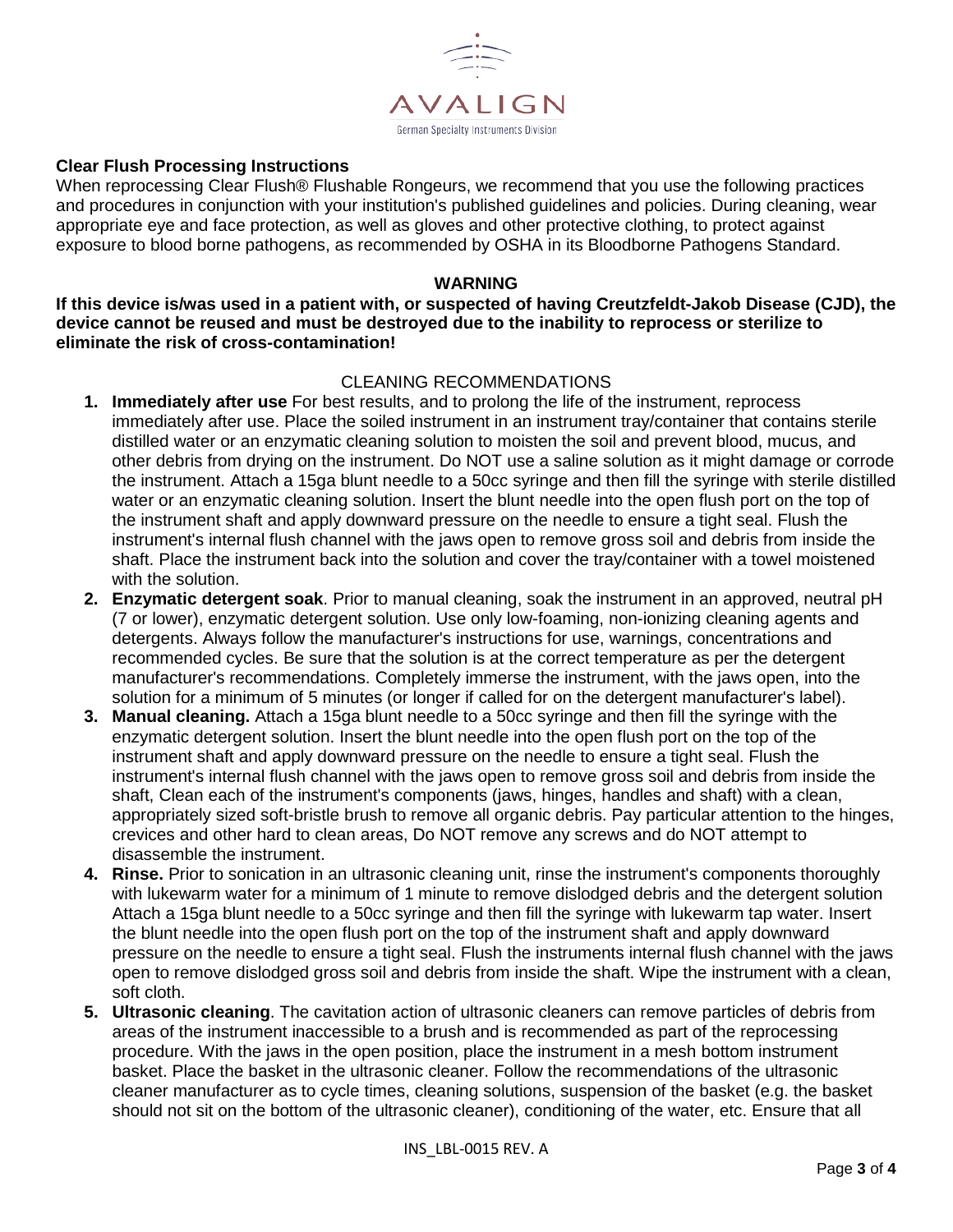

# **Clear Flush Processing Instructions**

When reprocessing Clear Flush® Flushable Rongeurs, we recommend that you use the following practices and procedures in conjunction with your institution's published guidelines and policies. During cleaning, wear appropriate eye and face protection, as well as gloves and other protective clothing, to protect against exposure to blood borne pathogens, as recommended by OSHA in its Bloodborne Pathogens Standard.

### **WARNING**

**If this device is/was used in a patient with, or suspected of having Creutzfeldt-Jakob Disease (CJD), the device cannot be reused and must be destroyed due to the inability to reprocess or sterilize to eliminate the risk of cross-contamination!**

# CLEANING RECOMMENDATIONS

- **1. Immediately after use** For best results, and to prolong the life of the instrument, reprocess immediately after use. Place the soiled instrument in an instrument tray/container that contains sterile distilled water or an enzymatic cleaning solution to moisten the soil and prevent blood, mucus, and other debris from drying on the instrument. Do NOT use a saline solution as it might damage or corrode the instrument. Attach a 15ga blunt needle to a 50cc syringe and then fill the syringe with sterile distilled water or an enzymatic cleaning solution. Insert the blunt needle into the open flush port on the top of the instrument shaft and apply downward pressure on the needle to ensure a tight seal. Flush the instrument's internal flush channel with the jaws open to remove gross soil and debris from inside the shaft. Place the instrument back into the solution and cover the tray/container with a towel moistened with the solution.
- **2. Enzymatic detergent soak**. Prior to manual cleaning, soak the instrument in an approved, neutral pH (7 or lower), enzymatic detergent solution. Use only low-foaming, non-ionizing cleaning agents and detergents. Always follow the manufacturer's instructions for use, warnings, concentrations and recommended cycles. Be sure that the solution is at the correct temperature as per the detergent manufacturer's recommendations. Completely immerse the instrument, with the jaws open, into the solution for a minimum of 5 minutes (or longer if called for on the detergent manufacturer's label).
- **3. Manual cleaning.** Attach a 15ga blunt needle to a 50cc syringe and then fill the syringe with the enzymatic detergent solution. Insert the blunt needle into the open flush port on the top of the instrument shaft and apply downward pressure on the needle to ensure a tight seal. Flush the instrument's internal flush channel with the jaws open to remove gross soil and debris from inside the shaft, Clean each of the instrument's components (jaws, hinges, handles and shaft) with a clean, appropriately sized soft-bristle brush to remove all organic debris. Pay particular attention to the hinges, crevices and other hard to clean areas, Do NOT remove any screws and do NOT attempt to disassemble the instrument.
- **4. Rinse.** Prior to sonication in an ultrasonic cleaning unit, rinse the instrument's components thoroughly with lukewarm water for a minimum of 1 minute to remove dislodged debris and the detergent solution Attach a 15ga blunt needle to a 50cc syringe and then fill the syringe with lukewarm tap water. Insert the blunt needle into the open flush port on the top of the instrument shaft and apply downward pressure on the needle to ensure a tight seal. Flush the instruments internal flush channel with the jaws open to remove dislodged gross soil and debris from inside the shaft. Wipe the instrument with a clean, soft cloth.
- **5. Ultrasonic cleaning**. The cavitation action of ultrasonic cleaners can remove particles of debris from areas of the instrument inaccessible to a brush and is recommended as part of the reprocessing procedure. With the jaws in the open position, place the instrument in a mesh bottom instrument basket. Place the basket in the ultrasonic cleaner. Follow the recommendations of the ultrasonic cleaner manufacturer as to cycle times, cleaning solutions, suspension of the basket (e.g. the basket should not sit on the bottom of the ultrasonic cleaner), conditioning of the water, etc. Ensure that all